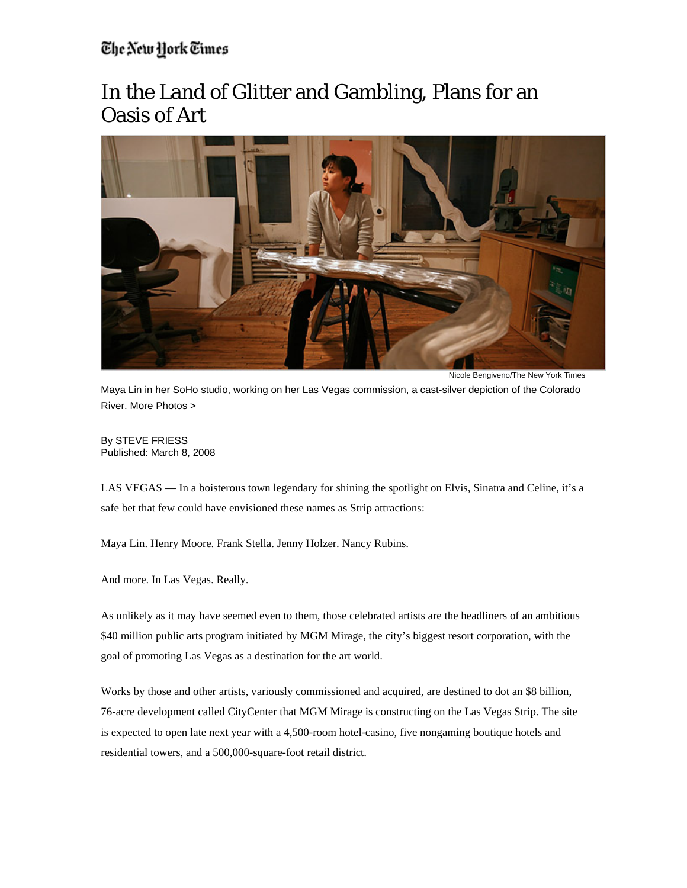## The New York Times

## In the Land of Glitter and Gambling, Plans for an Oasis of Art



Nicole Bengiveno/The New York Times

Maya Lin in her SoHo studio, working on her Las Vegas commission, a cast-silver depiction of the Colorado River. More Photos >

By STEVE FRIESS Published: March 8, 2008

LAS VEGAS — In a boisterous town legendary for shining the spotlight on Elvis, Sinatra and Celine, it's a safe bet that few could have envisioned these names as Strip attractions:

Maya Lin. Henry Moore. Frank Stella. Jenny Holzer. Nancy Rubins.

And more. In Las Vegas. Really.

As unlikely as it may have seemed even to them, those celebrated artists are the headliners of an ambitious \$40 million public arts program initiated by MGM Mirage, the city's biggest resort corporation, with the goal of promoting Las Vegas as a destination for the art world.

Works by those and other artists, variously commissioned and acquired, are destined to dot an \$8 billion, 76-acre development called CityCenter that MGM Mirage is constructing on the Las Vegas Strip. The site is expected to open late next year with a 4,500-room hotel-casino, five nongaming boutique hotels and residential towers, and a 500,000-square-foot retail district.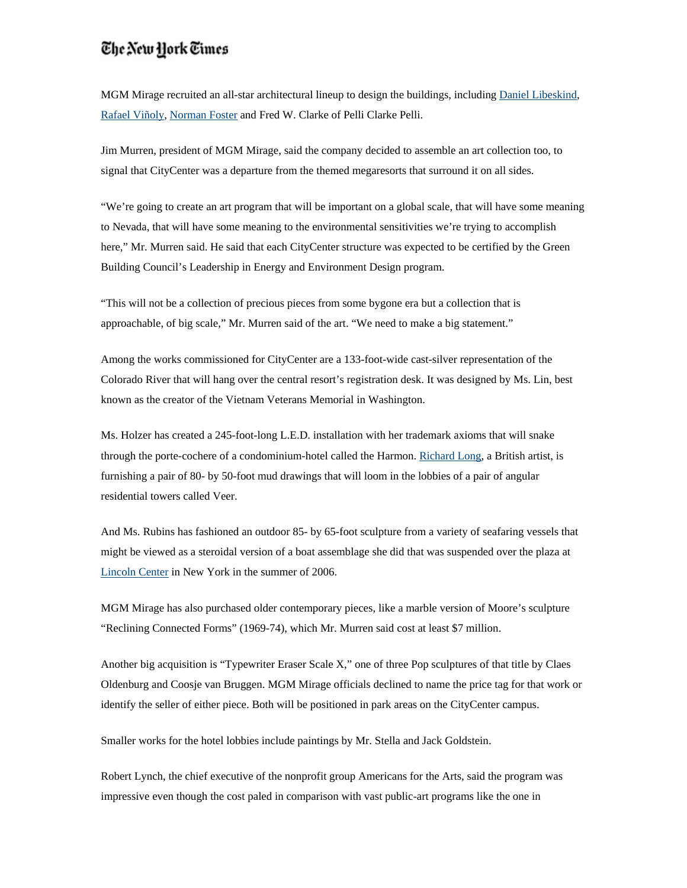## The New York Times

MGM Mirage recruited an all-star architectural lineup to design the buildings, including Daniel Libeskind, Rafael Viñoly, Norman Foster and Fred W. Clarke of Pelli Clarke Pelli.

Jim Murren, president of MGM Mirage, said the company decided to assemble an art collection too, to signal that CityCenter was a departure from the themed megaresorts that surround it on all sides.

"We're going to create an art program that will be important on a global scale, that will have some meaning to Nevada, that will have some meaning to the environmental sensitivities we're trying to accomplish here," Mr. Murren said. He said that each CityCenter structure was expected to be certified by the Green Building Council's Leadership in Energy and Environment Design program.

"This will not be a collection of precious pieces from some bygone era but a collection that is approachable, of big scale," Mr. Murren said of the art. "We need to make a big statement."

Among the works commissioned for CityCenter are a 133-foot-wide cast-silver representation of the Colorado River that will hang over the central resort's registration desk. It was designed by Ms. Lin, best known as the creator of the Vietnam Veterans Memorial in Washington.

Ms. Holzer has created a 245-foot-long L.E.D. installation with her trademark axioms that will snake through the porte-cochere of a condominium-hotel called the Harmon. Richard Long, a British artist, is furnishing a pair of 80- by 50-foot mud drawings that will loom in the lobbies of a pair of angular residential towers called Veer.

And Ms. Rubins has fashioned an outdoor 85- by 65-foot sculpture from a variety of seafaring vessels that might be viewed as a steroidal version of a boat assemblage she did that was suspended over the plaza at Lincoln Center in New York in the summer of 2006.

MGM Mirage has also purchased older contemporary pieces, like a marble version of Moore's sculpture "Reclining Connected Forms" (1969-74), which Mr. Murren said cost at least \$7 million.

Another big acquisition is "Typewriter Eraser Scale X," one of three Pop sculptures of that title by Claes Oldenburg and Coosje van Bruggen. MGM Mirage officials declined to name the price tag for that work or identify the seller of either piece. Both will be positioned in park areas on the CityCenter campus.

Smaller works for the hotel lobbies include paintings by Mr. Stella and Jack Goldstein.

Robert Lynch, the chief executive of the nonprofit group Americans for the Arts, said the program was impressive even though the cost paled in comparison with vast public-art programs like the one in